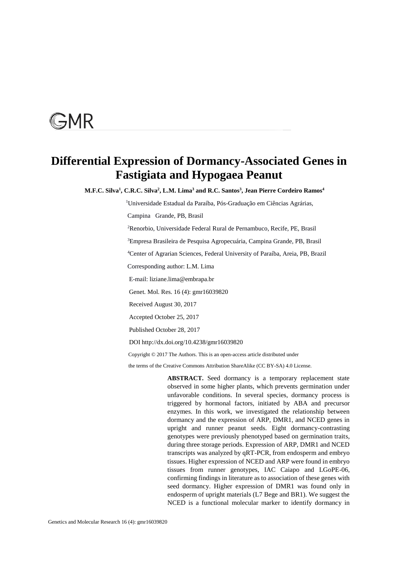# **GMR**

# **Differential Expression of Dormancy-Associated Genes in Fastigiata and Hypogaea Peanut**

M.F.C. Silva<sup>1</sup>, C.R.C. Silva<sup>2</sup>, L.M. Lima<sup>3</sup> and R.C. Santos<sup>3</sup>, Jean Pierre Cordeiro Ramos<sup>4</sup>

<sup>1</sup>Universidade Estadual da Paraíba, Pós-Graduação em Ciências Agrárias,

Campina Grande, PB, Brasil

<sup>2</sup>Renorbio, Universidade Federal Rural de Pernambuco, Recife, PE, Brasil

<sup>3</sup>Empresa Brasileira de Pesquisa Agropecuária, Campina Grande, PB, Brasil

<sup>4</sup>Center of Agrarian Sciences, Federal University of Paraíba, Areia, PB, Brazil

Corresponding author: L.M. Lima

E-mail: liziane.lima@embrapa.br

Genet. Mol. Res. 16 (4): gmr16039820

Received August 30, 2017

Accepted October 25, 2017

Published October 28, 2017

DOI http://dx.doi.org/10.4238/gmr16039820

Copyright © 2017 The Authors. This is an open-access article distributed under

the terms of the Creative Commons Attribution ShareAlike (CC BY-SA) 4.0 License.

**ABSTRACT.** Seed dormancy is a temporary replacement state observed in some higher plants, which prevents germination under unfavorable conditions. In several species, dormancy process is triggered by hormonal factors, initiated by ABA and precursor enzymes. In this work, we investigated the relationship between dormancy and the expression of ARP, DMR1, and NCED genes in upright and runner peanut seeds. Eight dormancy-contrasting genotypes were previously phenotyped based on germination traits, during three storage periods. Expression of ARP, DMR1 and NCED transcripts was analyzed by qRT-PCR, from endosperm and embryo tissues. Higher expression of NCED and ARP were found in embryo tissues from runner genotypes, IAC Caiapo and LGoPE-06, confirming findings in literature as to association of these genes with seed dormancy. Higher expression of DMR1 was found only in endosperm of upright materials (L7 Bege and BR1). We suggest the NCED is a functional molecular marker to identify dormancy in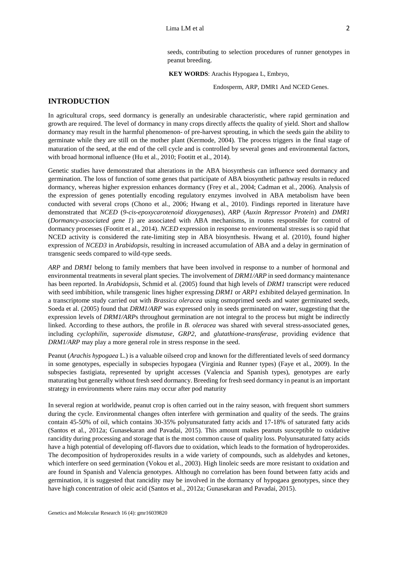seeds, contributing to selection procedures of runner genotypes in peanut breeding.

 **KEY WORDS**: Arachis Hypogaea L, Embryo,

Endosperm, ARP, DMR1 And NCED Genes.

### **INTRODUCTION**

In agricultural crops, seed dormancy is generally an undesirable characteristic, where rapid germination and growth are required. The level of dormancy in many crops directly affects the quality of yield. Short and shallow dormancy may result in the harmful phenomenon- of pre-harvest sprouting, in which the seeds gain the ability to germinate while they are still on the mother plant (Kermode, 2004). The process triggers in the final stage of maturation of the seed, at the end of the cell cycle and is controlled by several genes and environmental factors, with broad hormonal influence (Hu et al., 2010; Footitt et al., 2014).

Genetic studies have demonstrated that alterations in the ABA biosynthesis can influence seed dormancy and germination. The loss of function of some genes that participate of ABA biosynthetic pathway results in reduced dormancy, whereas higher expression enhances dormancy (Frey et al., 2004; Cadman et al., 2006). Analysis of the expression of genes potentially encoding regulatory enzymes involved in ABA metabolism have been conducted with several crops (Chono et al., 2006; Hwang et al., 2010). Findings reported in literature have demonstrated that *NCED* (*9-cis-epoxycarotenoid dioxygenases*), *ARP* (*Auxin Repressor Protein*) and *DMR1* (*Dormancy-associated gene 1*) are associated with ABA mechanisms, in routes responsible for control of dormancy processes (Footitt et al., 2014). *NCED* expression in response to environmental stresses is so rapid that NCED activity is considered the rate-limiting step in ABA biosynthesis. Hwang et al. (2010), found higher expression of *NCED3* in *Arabidopsis*, resulting in increased accumulation of ABA and a delay in germination of transgenic seeds compared to wild-type seeds.

*ARP* and *DRM1* belong to family members that have been involved in response to a number of hormonal and environmental treatments in several plant species. The involvement of *DRM1/ARP* in seed dormancy maintenance has been reported. In *Arabidopsis*, Schmid et al. (2005) found that high levels of *DRM1* transcript were reduced with seed imbibition, while transgenic lines higher expressing *DRM1* or *ARP1* exhibited delayed germination. In a transcriptome study carried out with *Brassica oleracea* using osmoprimed seeds and water germinated seeds, Soeda et al. (2005) found that *DRM1/ARP* was expressed only in seeds germinated on water, suggesting that the expression levels of *DRM1/ARP*s throughout germination are not integral to the process but might be indirectly linked. According to these authors, the profile in *B. oleracea* was shared with several stress-associated genes, including *cyclophilin*, *superoxide dismutase*, *GRP2*, and *glutathione-transferase*, providing evidence that *DRM1/ARP* may play a more general role in stress response in the seed.

Peanut (*Arachis hypogaea* L.) is a valuable oilseed crop and known for the differentiated levels of seed dormancy in some genotypes, especially in subspecies hypogaea (Virginia and Runner types) (Faye et al., 2009). In the subspecies fastigiata, represented by upright accesses (Valencia and Spanish types), genotypes are early maturating but generally without fresh seed dormancy. Breeding for fresh seed dormancy in peanut is an important strategy in environments where rains may occur after pod maturity

In several region at worldwide, peanut crop is often carried out in the rainy season, with frequent short summers during the cycle. Environmental changes often interfere with germination and quality of the seeds. The grains contain 45-50% of oil, which contains 30-35% polyunsaturated fatty acids and 17-18% of saturated fatty acids (Santos et al., 2012a; Gunasekaran and Pavadai, 2015). This amount makes peanuts susceptible to oxidative rancidity during processing and storage that is the most common cause of quality loss. Polyunsaturated fatty acids have a high potential of developing off-flavors due to oxidation, which leads to the formation of hydroperoxides. The decomposition of hydroperoxides results in a wide variety of compounds, such as aldehydes and ketones, which interfere on seed germination (Vokou et al., 2003). High linoleic seeds are more resistant to oxidation and are found in Spanish and Valencia genotypes. Although no correlation has been found between fatty acids and germination, it is suggested that rancidity may be involved in the dormancy of hypogaea genotypes, since they have high concentration of oleic acid (Santos et al., 2012a; Gunasekaran and Pavadai, 2015).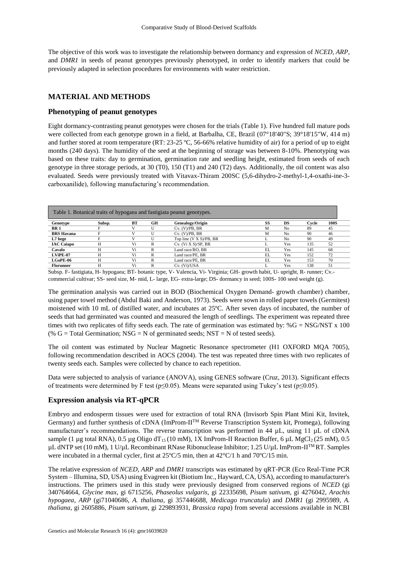The objective of this work was to investigate the relationship between dormancy and expression of *NCED*, *ARP*, and *DMR1* in seeds of peanut genotypes previously phenotyped, in order to identify markers that could be previously adapted in selection procedures for environments with water restriction.

#### **MATERIAL AND METHODS**

#### **Phenotyping of peanut genotypes**

Eight dormancy-contrasting peanut genotypes were chosen for the trials (Table 1). Five hundred full mature pods were collected from each genotype grown in a field, at Barbalha, CE, Brazil (07°18'40"S; 39°18'15"W, 414 m) and further stored at room temperature (RT: 23-25 ºC, 56-66% relative humidity of air) for a period of up to eight months (240 days). The humidity of the seed at the beginning of storage was between 8-10%. Phenotyping was based on these traits: day to germination, germination rate and seedling height, estimated from seeds of each genotype in three storage periods, at 30 (T0), 150 (T1) and 240 (T2) days. Additionally, the oil content was also evaluated. Seeds were previously treated with Vitavax-Thiram 200SC (5,6-dihydro-2-methyl-1,4-oxathi-ine-3 carboxanilide), following manufacturing's recommendation.

|                   |        |    |    | Table 1. Botanical traits of hypogaea and fastigiata peanut genotypes. |    |     |       |             |
|-------------------|--------|----|----|------------------------------------------------------------------------|----|-----|-------|-------------|
| Genotype          | Subsp. | BT | GH | Genealogy/Origin                                                       | SS | DS  | Cvcle | <b>100S</b> |
| BR 1              |        |    |    | Cv. (V)/PB, BR                                                         | М  | No  | 89    | 45          |
| <b>BRS</b> Havana |        |    | U  | Cv. (V)/PB, BR                                                         | M  | No  | 90    | 46          |
| L7 bege           |        |    | U  | Top line (V X S)/PB, BR                                                | L  | No  | -90   | 49          |
| <b>IAC Caiapo</b> |        | Vi | R  | $Cv.$ (Vi X S)/SP, BR                                                  |    | Yes | 135   | 52          |
| Cavalo            |        | Vi | D  | Land race/RO. BR                                                       | EL | Yes | 145   | 68          |
| LViPE-07          |        | Vi | R  | Land race/PE, BR                                                       | EL | Yes | 152   | 72          |
| $LGoPE-06$        | н      | Vi | R  | Land race/PE, BR                                                       | EL | Yes | 153   | 70          |
| <b>Florunner</b>  |        | Vi | R  | Cv. (Vi)/USA                                                           |    | Yes | 138   | 51          |

Subsp. F- fastigiata, H- hypogaea; BT- botanic type, V- Valencia, Vi- Virginia; GH- growth habit, U- upright, R- runner; Cv. commercial cultivar; SS- seed size, M- mid, L- large, EG- extra-large; DS- dormancy in seed; 100S- 100 seed weight (g).

The germination analysis was carried out in BOD (Biochemical Oxygen Demand- growth chamber) chamber, using paper towel method (Abdul Baki and Anderson, 1973). Seeds were sown in rolled paper towels (Germitest) moistened with 10 mL of distilled water, and incubates at 25ºC. After seven days of incubated, the number of seeds that had germinated was counted and measured the length of seedlings. The experiment was repeated three times with two replicates of fifty seeds each. The rate of germination was estimated by:  $%G = NSG/NST \times 100$ (% G = Total Germination; NSG = N of germinated seeds; NST = N of tested seeds).

The oil content was estimated by Nuclear Magnetic Resonance spectrometer (H1 OXFORD MQA 7005), following recommendation described in AOCS (2004). The test was repeated three times with two replicates of twenty seeds each. Samples were collected by chance to each repetition.

Data were subjected to analysis of variance (ANOVA), using GENES software (Cruz, 2013). Significant effects of treatments were determined by F test ( $p \le 0.05$ ). Means were separated using Tukey's test ( $p \le 0.05$ ).

#### **Expression analysis via RT-qPCR**

Embryo and endosperm tissues were used for extraction of total RNA (Invisorb Spin Plant Mini Kit, Invitek, Germany) and further synthesis of cDNA (ImProm-IITM Reverse Transcription System kit, Promega), following manufacturer's recommendations. The reverse transcription was performed in 44 µL, using 11 µL of cDNA sample (1 µg total RNA), 0.5 µg Oligo dT<sub>15</sub> (10 mM), 1X ImProm-II Reaction Buffer, 6 µL MgCl<sub>2</sub> (25 mM), 0.5 µL dNTP set (10 mM), 1 U/µL Recombinant RNase Ribonuclease Inhibitor; 1.25 U/µL ImProm-II<sup>™</sup>RT. Samples were incubated in a thermal cycler, first at  $25^{\circ}C/5$  min, then at  $42^{\circ}C/1$  h and  $70^{\circ}C/15$  min.

The relative expression of *NCED*, *ARP* and *DMR1* transcripts was estimated by qRT-PCR (Eco Real-Time PCR System – Illumina, SD, USA) using Evagreen kit (Biotium Inc., Hayward, CA, USA), according to manufacturer's instructions. The primers used in this study were previously designed from conserved regions of *NCED* (gi 340764664, *Glycine max*, gi 6715256, *Phaseolus vulgaris*, gi 22335698, *Pisum sativum*, gi 4276042, *Arachis hypogaea*, *ARP* (gi71040686, *A. thaliana*, gi 357446688, *Medicago truncatula*) and *DMR1* (gi 2995989, *A. thaliana*, gi 2605886, *Pisum sativum*, gi 229893931, *Brassica rapa*) from several accessions available in NCBI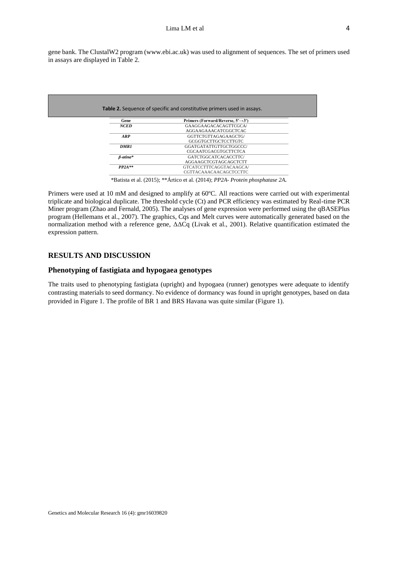gene bank. The ClustalW2 program (www.ebi.ac.uk) was used to alignment of sequences. The set of primers used in assays are displayed in Table 2.

|                 | Table 2. Sequence of specific and constitutive primers used in assays. |
|-----------------|------------------------------------------------------------------------|
|                 |                                                                        |
| Gene            | Primers (Forward/Reverse, $5' \rightarrow 3'$ )                        |
| <b>NCED</b>     | GAAGGAAGACACAGTTCGCA/                                                  |
|                 | AGGAAGAAACATCGGCTCAC                                                   |
| $\bf{ARP}$      | GGTTCTGTTAGAGAAGCTG/                                                   |
|                 | GCGGTGCTTGCTCCTTGTC                                                    |
| <b>DMR1</b>     | GGATGATATTGTTGCTGGCCC/                                                 |
|                 | <b>CGCAATCGACGTGCTTCTCA</b>                                            |
| $\beta$ -atina* | GATCTGGCATCACACCTTC/                                                   |
|                 | AGGAAGCTCGTAGCAGCTCTT                                                  |
| $PP2A**$        | GTCATCCTTTCAGGTACAAGCA/                                                |
|                 | CGTTACAAACAACAGCTCCTTC                                                 |

\*Batista et al. (2015); \*\*Ártico et al. (2014); *PP2A- Protein phosphatase 2A.*

Primers were used at 10 mM and designed to amplify at 60ºC. All reactions were carried out with experimental triplicate and biological duplicate. The threshold cycle (Ct) and PCR efficiency was estimated by Real-time PCR Miner program (Zhao and Fernald, 2005). The analyses of gene expression were performed using the qBASEPlus program (Hellemans et al., 2007). The graphics, Cqs and Melt curves were automatically generated based on the normalization method with a reference gene, ΔΔCq (Livak et al., 2001). Relative quantification estimated the expression pattern.

# **RESULTS AND DISCUSSION**

#### **Phenotyping of fastigiata and hypogaea genotypes**

The traits used to phenotyping fastigiata (upright) and hypogaea (runner) genotypes were adequate to identify contrasting materials to seed dormancy. No evidence of dormancy was found in upright genotypes, based on data provided in Figure 1. The profile of BR 1 and BRS Havana was quite similar (Figure 1).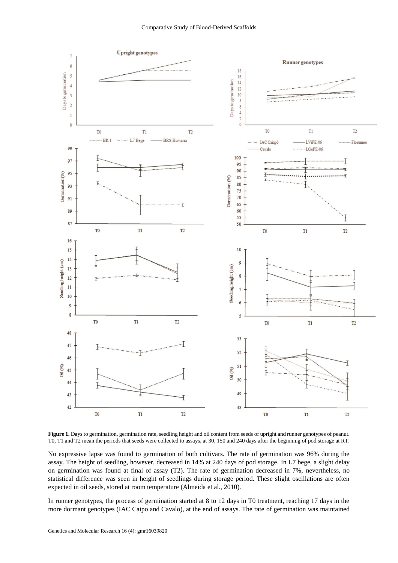

**Figure 1.** Days to germination, germination rate, seedling height and oil content from seeds of upright and runner genotypes of peanut. T0, T1 and T2 mean the periods that seeds were collected to assays, at 30, 150 and 240 days after the beginning of pod storage at RT.

No expressive lapse was found to germination of both cultivars. The rate of germination was 96% during the assay. The height of seedling, however, decreased in 14% at 240 days of pod storage. In L7 bege, a slight delay on germination was found at final of assay (T2). The rate of germination decreased in 7%, nevertheless, no statistical difference was seen in height of seedlings during storage period. These slight oscillations are often expected in oil seeds, stored at room temperature (Almeida et al., 2010).

In runner genotypes, the process of germination started at 8 to 12 days in T0 treatment, reaching 17 days in the more dormant genotypes (IAC Caipo and Cavalo), at the end of assays. The rate of germination was maintained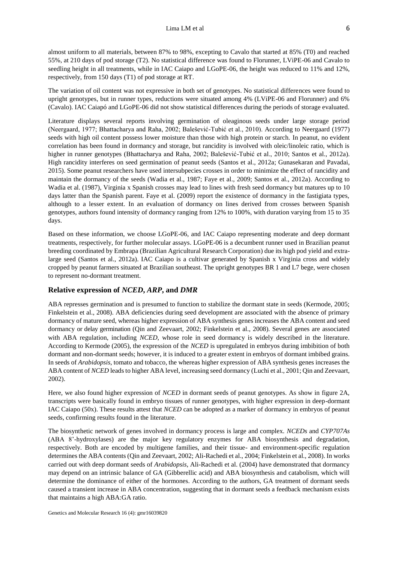almost uniform to all materials, between 87% to 98%, excepting to Cavalo that started at 85% (T0) and reached 55%, at 210 days of pod storage (T2). No statistical difference was found to Florunner, LViPE-06 and Cavalo to seedling height in all treatments, while in IAC Caiapo and LGoPE-06, the height was reduced to 11% and 12%, respectively, from 150 days (T1) of pod storage at RT.

The variation of oil content was not expressive in both set of genotypes. No statistical differences were found to upright genotypes, but in runner types, reductions were situated among 4% (LViPE-06 and Florunner) and 6% (Cavalo). IAC Caiapó and LGoPE-06 did not show statistical differences during the periods of storage evaluated.

Literature displays several reports involving germination of oleaginous seeds under large storage period (Neergaard, 1977; Bhattacharya and Raha, 2002; Balešević-Tubić et al., 2010). According to Neergaard (1977) seeds with high oil content possess lower moisture than those with high protein or starch. In peanut, no evident correlation has been found in dormancy and storage, but rancidity is involved with oleic/linoleic ratio, which is higher in runner genotypes (Bhattacharya and Raha, 2002; Balešević-Tubić et al., 2010; Santos et al., 2012a). High rancidity interferes on seed germination of peanut seeds (Santos et al., 2012a; Gunasekaran and Pavadai, 2015). Some peanut researchers have used intersubpecies crosses in order to minimize the effect of rancidity and maintain the dormancy of the seeds (Wadia et al., 1987; Faye et al., 2009; Santos et al., 2012a). According to Wadia et al. (1987), Virginia x Spanish crosses may lead to lines with fresh seed dormancy but matures up to 10 days latter than the Spanish parent. Faye et al. (2009) report the existence of dormancy in the fastigiata types, although to a lesser extent. In an evaluation of dormancy on lines derived from crosses between Spanish genotypes, authors found intensity of dormancy ranging from 12% to 100%, with duration varying from 15 to 35 days.

Based on these information, we choose LGoPE-06, and IAC Caiapo representing moderate and deep dormant treatments, respectively, for further molecular assays. LGoPE-06 is a decumbent runner used in Brazilian peanut breeding coordinated by Embrapa (Brazilian Agricultural Research Corporation) due its high pod yield and extralarge seed (Santos et al., 2012a). IAC Caiapo is a cultivar generated by Spanish x Virginia cross and widely cropped by peanut farmers situated at Brazilian southeast. The upright genotypes BR 1 and L7 bege, were chosen to represent no-dormant treatment.

# **Relative expression of** *NCED***,** *ARP***, and** *DMR*

ABA represses germination and is presumed to function to stabilize the dormant state in seeds (Kermode, 2005; Finkelstein et al., 2008). ABA deficiencies during seed development are associated with the absence of primary dormancy of mature seed, whereas higher expression of ABA synthesis genes increases the ABA content and seed dormancy or delay germination (Qin and Zeevaart, 2002; Finkelstein et al., 2008). Several genes are associated with ABA regulation, including *NCED*, whose role in seed dormancy is widely described in the literature. According to Kermode (2005), the expression of the *NCED* is upregulated in embryos during imbibition of both dormant and non-dormant seeds; however, it is induced to a greater extent in embryos of dormant imbibed grains. In seeds of *Arabidopsis*, tomato and tobacco, the whereas higher expression of ABA synthesis genes increases the ABA content of *NCED* leads to higher ABA level, increasing seed dormancy (Luchi et al., 2001; Qin and Zeevaart, 2002).

Here, we also found higher expression of *NCED* in dormant seeds of peanut genotypes. As show in figure 2A, transcripts were basically found in embryo tissues of runner genotypes, with higher expression in deep-dormant IAC Caiapo (50x). These results attest that *NCED* can be adopted as a marker of dormancy in embryos of peanut seeds, confirming results found in the literature.

The biosynthetic network of genes involved in dormancy process is large and complex. *NCEDs* and *CYP707As* (ABA 8'-hydroxylases) are the major key regulatory enzymes for ABA biosynthesis and degradation, respectively. Both are encoded by multigene families, and their tissue- and environment-specific regulation determines the ABA contents (Qin and Zeevaart, 2002; Ali-Rachedi et al., 2004; Finkelstein et al., 2008). In works carried out with deep dormant seeds of *Arabidopsis*, Ali-Rachedi et al. (2004) have demonstrated that dormancy may depend on an intrinsic balance of GA (Gibberellic acid) and ABA biosynthesis and catabolism, which will determine the dominance of either of the hormones. According to the authors, GA treatment of dormant seeds caused a transient increase in ABA concentration, suggesting that in dormant seeds a feedback mechanism exists that maintains a high ABA:GA ratio.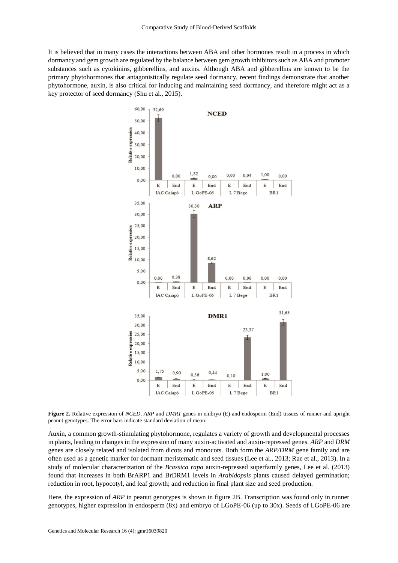It is believed that in many cases the interactions between ABA and other hormones result in a process in which dormancy and gem growth are regulated by the balance between gem growth inhibitors such as ABA and promoter substances such as cytokinins, gibberellins, and auxins. Although ABA and gibberellins are known to be the primary phytohormones that antagonistically regulate seed dormancy, recent findings demonstrate that another phytohormone, auxin, is also critical for inducing and maintaining seed dormancy, and therefore might act as a key protector of seed dormancy (Shu et al., 2015).



**Figure 2.** Relative expression of *NCED, ARP* and *DMR1* genes in embryo (E) and endosperm (End) tissues of runner and upright peanut genotypes. The error bars indicate standard deviation of mean.

Auxin, a common growth-stimulating phytohormone, regulates a variety of growth and developmental processes in plants, leading to changes in the expression of many auxin-activated and auxin-repressed genes. *ARP* and *DRM* genes are closely related and isolated from dicots and monocots. Both form the *ARP/DRM* gene family and are often used as a genetic marker for dormant meristematic and seed tissues (Lee et al., 2013; Rae et al., 2013). In a study of molecular characterization of the *Brassica rapa* auxin-repressed superfamily genes, Lee et al. (2013) found that increases in both BrARP1 and BrDRM1 levels in *Arabidopsis* plants caused delayed germination; reduction in root, hypocotyl, and leaf growth; and reduction in final plant size and seed production.

Here, the expression of *ARP* in peanut genotypes is shown in figure 2B. Transcription was found only in runner genotypes, higher expression in endosperm (8x) and embryo of LGoPE-06 (up to 30x). Seeds of LGoPE-06 are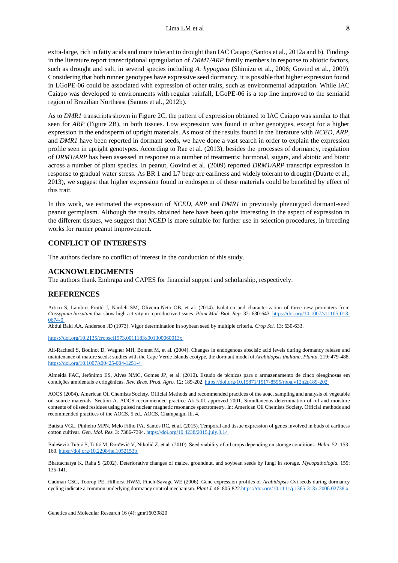extra-large, rich in fatty acids and more tolerant to drought than IAC Caiapo (Santos et al., 2012a and b). Findings in the literature report transcriptional upregulation of *DRM1/ARP* family members in response to abiotic factors, such as drought and salt, in several species including *A. hypogaea* (Shimizu et al., 2006; Govind et al., 2009). Considering that both runner genotypes have expressive seed dormancy, it is possible that higher expression found in LGoPE-06 could be associated with expression of other traits, such as environmental adaptation. While IAC Caiapo was developed to environments with regular rainfall, LGoPE-06 is a top line improved to the semiarid region of Brazilian Northeast (Santos et al., 2012b).

As to *DMR1* transcripts shown in Figure 2C, the pattern of expression obtained to IAC Caiapo was similar to that seen for *ARP* (Figure 2B), in both tissues. Low expression was found in other genotypes, except for a higher expression in the endosperm of upright materials. As most of the results found in the literature with *NCED*, *ARP*, and *DMR1* have been reported in dormant seeds, we have done a vast search in order to explain the expression profile seen in upright genotypes. According to Rae et al. (2013), besides the processes of dormancy, regulation of *DRM1/ARP* has been assessed in response to a number of treatments: hormonal, sugars, and abiotic and biotic across a number of plant species. In peanut, Govind et al. (2009) reported *DRM1/ARP* transcript expression in response to gradual water stress. As BR 1 and L7 bege are earliness and widely tolerant to drought (Duarte et al., 2013), we suggest that higher expression found in endosperm of these materials could be benefited by effect of this trait.

In this work, we estimated the expression of *NCED*, *ARP* and *DMR1* in previously phenotyped dormant-seed peanut germplasm. Although the results obtained here have been quite interesting in the aspect of expression in the different tissues, we suggest that *NCED* is more suitable for further use in selection procedures, in breeding works for runner peanut improvement.

#### **CONFLICT OF INTERESTS**

The authors declare no conflict of interest in the conduction of this study.

#### **ACKNOWLEDGMENTS**

The authors thank Embrapa and CAPES for financial support and scholarship, respectively.

#### **REFERENCES**

Artico S, Lambret-Frotté J, Nardeli SM, Oliveira-Neto OB, et al. (2014). Isolation and characterization of three new promoters from *Gossypium hirsutum* that show high activity in reproductive tissues. *Plant Mol. Biol. Rep.* 32: 630-643[. https://doi.org/10.1007/s11105-013-](https://doi.org/10.1007/s11105-013-0674-0) [0674-0](https://doi.org/10.1007/s11105-013-0674-0)

Abdul Baki AA, Anderson JD (1973). Vigor determination in soybean seed by multiple criteria. *Crop Sci.* 13: 630-633.

<https://doi.org/10.2135/cropsci1973.0011183x001300060013x>

Ali-Rachedi S, Bouinot D, Wagner MH, Bonnet M, et al. (2004). Changes in endogenous abscisic acid levels during dormancy release and maintenance of mature seeds: studies with the Cape Verde Islands ecotype, the dormant model of *Arabidopsis thaliana*. *Planta.* 219: 479-488. <https://doi.org/10.1007/s00425-004-1251-4>

Almeida FAC, Jerônimo ES, Alves NMC, Gomes JP, et al. (2010). Estudo de técnicas para o armazenamento de cinco oleaginosas em condições ambientais e criogênicas. *Rev. Bras. Prod. Agro.* 12: 189-202. <https://doi.org/10.15871/1517-8595/rbpa.v12n2p189-202>

AOCS (2004). American Oil Chemists Society. Official Methods and recommended practices of the aoac, sampling and analysis of vegetable oil source materials, Section A. AOCS recommended practice Ak 5-01 approved 2001. Simultaneous determination of oil and moisture contents of oilseed residues using pulsed nuclear magnetic resonance spectrometry. In: American Oil Chemists Society. Official methods and recommended practices of the AOCS. 5 ed., AOCS, Champaign, Ill. 4.

Batista VGL, Pinheiro MPN, Melo Filho PA, Santos RC, et al. (2015). Temporal and tissue expression of genes involved in buds of earliness cotton cultivar. *Gen. Mol. Res.* 3: 7386-7394. <https://doi.org/10.4238/2015.july.3.14>

Balešević-Tubić S, Tatić M, Ðorđević V, Nikolić Z, et al. (2010). Seed viability of oil crops depending on storage conditions. *Helia.* 52: 153- 160. <https://doi.org/10.2298/hel1052153b>

Bhattacharya K, Raha S (2002). Deteriorative changes of maize, groundnut, and soybean seeds by fungi in storage. *Mycopathologia.* 155: 135-141.

Cadman CSC, Toorop PE, Hilhorst HWM, Finch-Savage WE (2006). Gene expression profiles of *Arabidopsis* Cvi seeds during dormancy cycling indicate a common underlying dormancy control mechanism. *Plant J.* 46: 805-822[.https://doi.org/10.1111/j.1365-313x.2006.02738.x](https://doi.org/10.1111/j.1365-313x.2006.02738.x)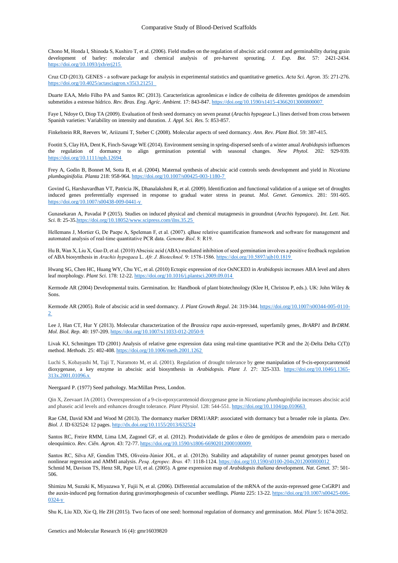Chono M, Honda I, Shinoda S, Kushiro T, et al. (2006). Field studies on the regulation of abscisic acid content and germinability during grain development of barley: molecular and chemical analysis of pre-harvest sprouting. *J. Exp. Bot.* 57: 2421-2434. <https://doi.org/10.1093/jxb/erj215>

Cruz CD (2013). GENES - a software package for analysis in experimental statistics and quantitative genetics. *Acta Sci. Agron.* 35: 271-276. <https://doi.org/10.4025/actasciagron.v35i3.21251>

Duarte EAA, Melo Filho PA and Santos RC (2013). Características agronômicas e índice de colheita de diferentes genótipos de amendoim submetidos a estresse hídrico. *Rev. Bras. Eng. Agríc. Ambient.* 17: 843-847[. https://doi.org/10.1590/s1415-43662013000800007](https://doi.org/10.1590/s1415-43662013000800007)

Faye I, Ndoye O, Diop TA (2009). Evaluation of fresh seed dormancy on seven peanut (*Arachis hypogeae* L.) lines derived from cross between Spanish varieties: Variability on intensity and duration. *J. Appl. Sci. Res.* 5: 853-857.

Finkelstein RR, Reevers W, Ariizumi T, Steber C (2008). Molecular aspects of seed dormancy. *Ann. Rev. Plant Biol*. 59: 387-415.

Footitt S, Clay HA, Dent K, Finch-Savage WE (2014). Environment sensing in spring-dispersed seeds of a winter anual *Arabidopsis* influences the regulation of dormancy to align germination potential with seasonal changes. *New Phytol.* 202: 929-939*.* <https://doi.org/10.1111/nph.12694>

Frey A, Godin B, Bonnet M, Sotta B, et al. (2004). Maternal synthesis of abscisic acid controls seeds development and yield in *Nicotiana plumbaginifolia. Planta* 218: 958-964. <https://doi.org/10.1007/s00425-003-1180-7>

Govind G, Harshavardhan VT, Patricia JK, Dhanalakshmi R, et al. (2009). Identification and functional validation of a unique set of droughts induced genes preferentially expressed in response to gradual water stress in peanut. *Mol. Genet. Genomics.* 281: 591-605. <https://doi.org/10.1007/s00438-009-0441-y>

Gunasekaran A, Pavadai P (2015). Studies on induced physical and chemical mutagenesis in groundnut (*Arachis hypogaea*). *Int. Lett. Nat. Sci.* 8: 25-3[5.https://doi.org/10.18052/www.scipress.com/ilns.35.25](https://doi.org/10.18052/www.scipress.com/ilns.35.25)

Hellemans J, Mortier G, De Paepe A, Speleman F, et al. (2007). qBase relative quantification framework and software for management and automated analysis of real-time quantitative PCR data. *Genome Biol*. 8: R19.

Hu B, Wan X, Liu X, Guo D, et al. (2010) Abscisic acid (ABA)-mediated inhibition of seed germination involves a positive feedback regulation of ABA biosynthesis in *Arachis hypogaea* L. *Afr. J. Biotechnol*. 9: 1578-1586. <https://doi.org/10.5897/ajb10.1819>

Hwang SG, Chen HC, Huang WY, Chu YC, et al. (2010) Ectopic expression of rice OsNCED3 in *Arabidopsis* increases ABA level and alters leaf morphology. *Plant Sci.* 178: 12-22[. https://doi.org/10.1016/j.plantsci.2009.09.014](https://doi.org/10.1016/j.plantsci.2009.09.014)

Kermode AR (2004) Developmental traits. Germination. In: Handbook of plant biotechnology (Klee H, Christou P, eds.). UK: John Wiley & Sons.

Kermode AR (2005). Role of abscisic acid in seed dormancy. *J. Plant Growth Regul*. 24: 319-344. [https://doi.org/10.1007/s00344-005-0110-](https://doi.org/10.1007/s00344-005-0110-2) [2](https://doi.org/10.1007/s00344-005-0110-2)

Lee J, Han CT, Hur Y (2013). Molecular characterization of the *Brassica rapa* auxin-repressed, superfamily genes, *BrARP1* and *BrDRM. Mol. Biol. Rep.* 40: 197-209. <https://doi.org/10.1007/s11033-012-2050-9>

Livak KJ, Schmittgen TD (2001) Analysis of relative gene expression data using real-time quantitative PCR and the 2(-Delta Delta C(T)) method. *Methods.* 25: 402-408. <https://doi.org/10.1006/meth.2001.1262>

Luchi S, Kobayashi M, Taji T, Naramoto M, et al. (2001). Regulation of drought tolerance by gene manipulation of 9-cis-epoxycarotenoid dioxygenase, a key enzyme in abscisic acid biosynthesis in *Arabidopsis*. *Plant J.* 27: 325-333. [https://doi.org/10.1046/j.1365-](https://doi.org/10.1046/j.1365-313x.2001.01096.x) [313x.2001.01096.x](https://doi.org/10.1046/j.1365-313x.2001.01096.x)

Neergaard P. (1977) Seed pathology. MacMillan Press, London.

Qin X, Zeevaart JA (2001). Overexpression of a 9-cis-epoxycarotenoid dioxygenase gene in *Nicotiana plumbaginifolia* increases abscisic acid and phaseic acid levels and enhances drought tolerance. *Plant Physiol.* 128: 544-551[. https://doi.org/10.1104/pp.010663](https://doi.org/10.1104/pp.010663)

Rae GM, David KM and Wood M (2013). The dormancy marker DRM1/ARP: associated with dormancy but a broader role in planta. *Dev. Biol. J.* ID 632524: 12 pages.<http://dx.doi.org/10.1155/2013/632524>

Santos RC, Freire RMM, Lima LM, Zagonel GF, et al. (2012). Produtividade de grãos e óleo de genótipos de amendoim para o mercado oleoquímico. *Rev. Ciên. Agron.* 43: 72-77. <https://doi.org/10.1590/s1806-66902012000100009>

Santos RC, Silva AF, Gondim TMS, Oliveira-Júnior JOL, et al. (2012b). Stability and adaptability of runner peanut genotypes based on nonlinear regression and AMMI analysis. *Pesq. Agropec. Bras.* 47: 1118-1124. <https://doi.org/10.1590/s0100-204x2012000800012> Schmid M, Davison TS, Henz SR, Pape UJ, et al. (2005). A gene expression map of *Arabidopsis thaliana* development. *Nat. Genet.* 37: 501- 506.

Shimizu M, Suzuki K, Miyazawa Y, Fujii N, et al. (2006). Differential accumulation of the mRNA of the auxin-repressed gene CsGRP1 and the auxin-induced peg formation during gravimorphogenesis of cucumber seedlings. *Planta* 225: 13-22. [https://doi.org/10.1007/s00425-006-](https://doi.org/10.1007/s00425-006-0324-y) [0324-y](https://doi.org/10.1007/s00425-006-0324-y)

Shu K, Liu XD, Xie Q, He ZH (2015). Two faces of one seed: hormonal regulation of dormancy and germination. *Mol. Plant* 5: 1674-2052.